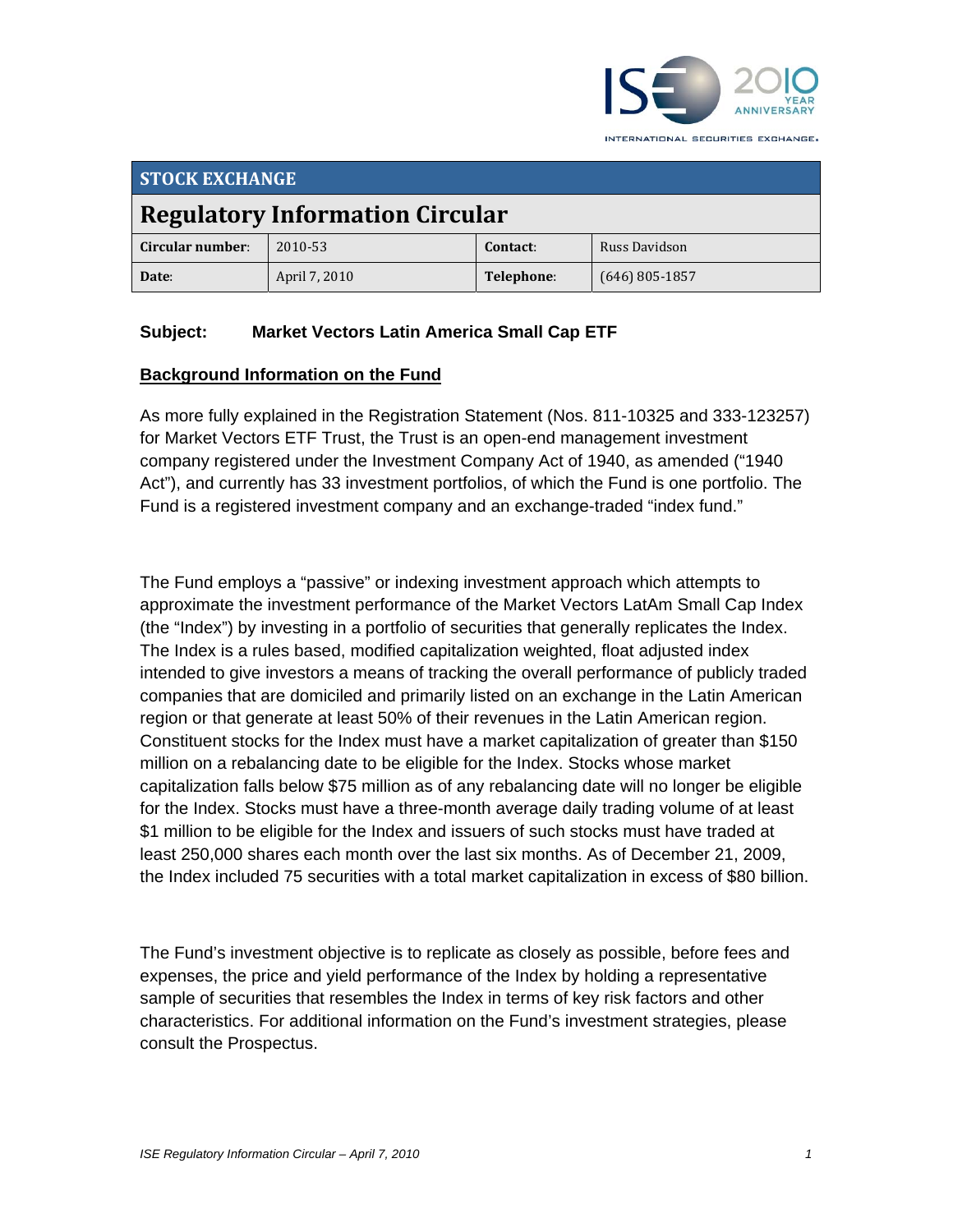

**STOCK EXCHANGE Regulatory Information Circular Circular number**: 2010‐53 **Contact**: Russ Davidson **Date**: April 7, 2010 **Telephone**: (646) 805‐1857

## **Subject: Market Vectors Latin America Small Cap ETF**

#### **Background Information on the Fund**

As more fully explained in the Registration Statement (Nos. 811-10325 and 333-123257) for Market Vectors ETF Trust, the Trust is an open-end management investment company registered under the Investment Company Act of 1940, as amended ("1940 Act"), and currently has 33 investment portfolios, of which the Fund is one portfolio. The Fund is a registered investment company and an exchange-traded "index fund."

The Fund employs a "passive" or indexing investment approach which attempts to approximate the investment performance of the Market Vectors LatAm Small Cap Index (the "Index") by investing in a portfolio of securities that generally replicates the Index. The Index is a rules based, modified capitalization weighted, float adjusted index intended to give investors a means of tracking the overall performance of publicly traded companies that are domiciled and primarily listed on an exchange in the Latin American region or that generate at least 50% of their revenues in the Latin American region. Constituent stocks for the Index must have a market capitalization of greater than \$150 million on a rebalancing date to be eligible for the Index. Stocks whose market capitalization falls below \$75 million as of any rebalancing date will no longer be eligible for the Index. Stocks must have a three-month average daily trading volume of at least \$1 million to be eligible for the Index and issuers of such stocks must have traded at least 250,000 shares each month over the last six months. As of December 21, 2009, the Index included 75 securities with a total market capitalization in excess of \$80 billion.

The Fund's investment objective is to replicate as closely as possible, before fees and expenses, the price and yield performance of the Index by holding a representative sample of securities that resembles the Index in terms of key risk factors and other characteristics. For additional information on the Fund's investment strategies, please consult the Prospectus.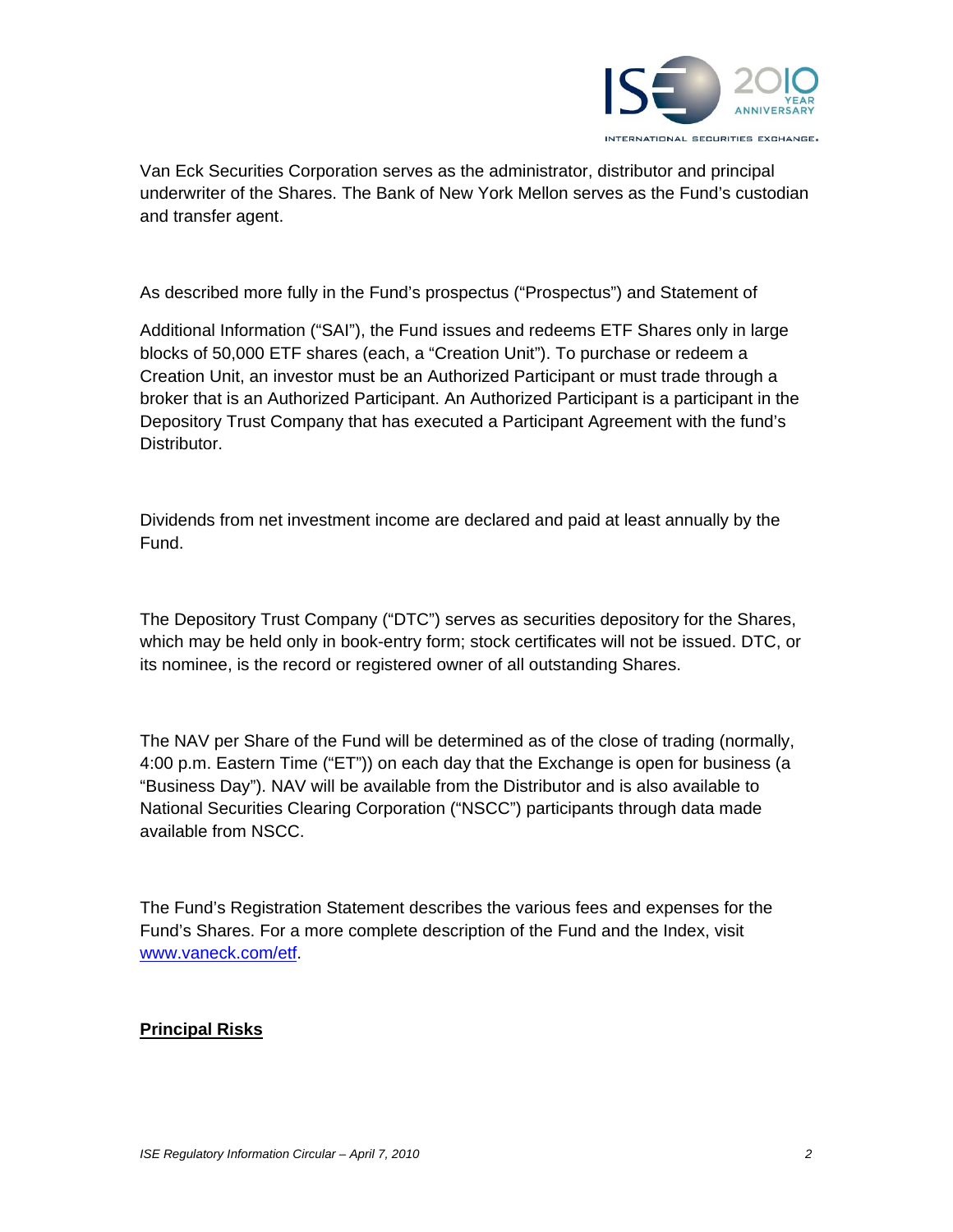

Van Eck Securities Corporation serves as the administrator, distributor and principal underwriter of the Shares. The Bank of New York Mellon serves as the Fund's custodian and transfer agent.

As described more fully in the Fund's prospectus ("Prospectus") and Statement of

Additional Information ("SAI"), the Fund issues and redeems ETF Shares only in large blocks of 50,000 ETF shares (each, a "Creation Unit"). To purchase or redeem a Creation Unit, an investor must be an Authorized Participant or must trade through a broker that is an Authorized Participant. An Authorized Participant is a participant in the Depository Trust Company that has executed a Participant Agreement with the fund's Distributor.

Dividends from net investment income are declared and paid at least annually by the Fund.

The Depository Trust Company ("DTC") serves as securities depository for the Shares, which may be held only in book-entry form; stock certificates will not be issued. DTC, or its nominee, is the record or registered owner of all outstanding Shares.

The NAV per Share of the Fund will be determined as of the close of trading (normally, 4:00 p.m. Eastern Time ("ET")) on each day that the Exchange is open for business (a "Business Day"). NAV will be available from the Distributor and is also available to National Securities Clearing Corporation ("NSCC") participants through data made available from NSCC.

The Fund's Registration Statement describes the various fees and expenses for the Fund's Shares. For a more complete description of the Fund and the Index, visit www.vaneck.com/etf.

#### **Principal Risks**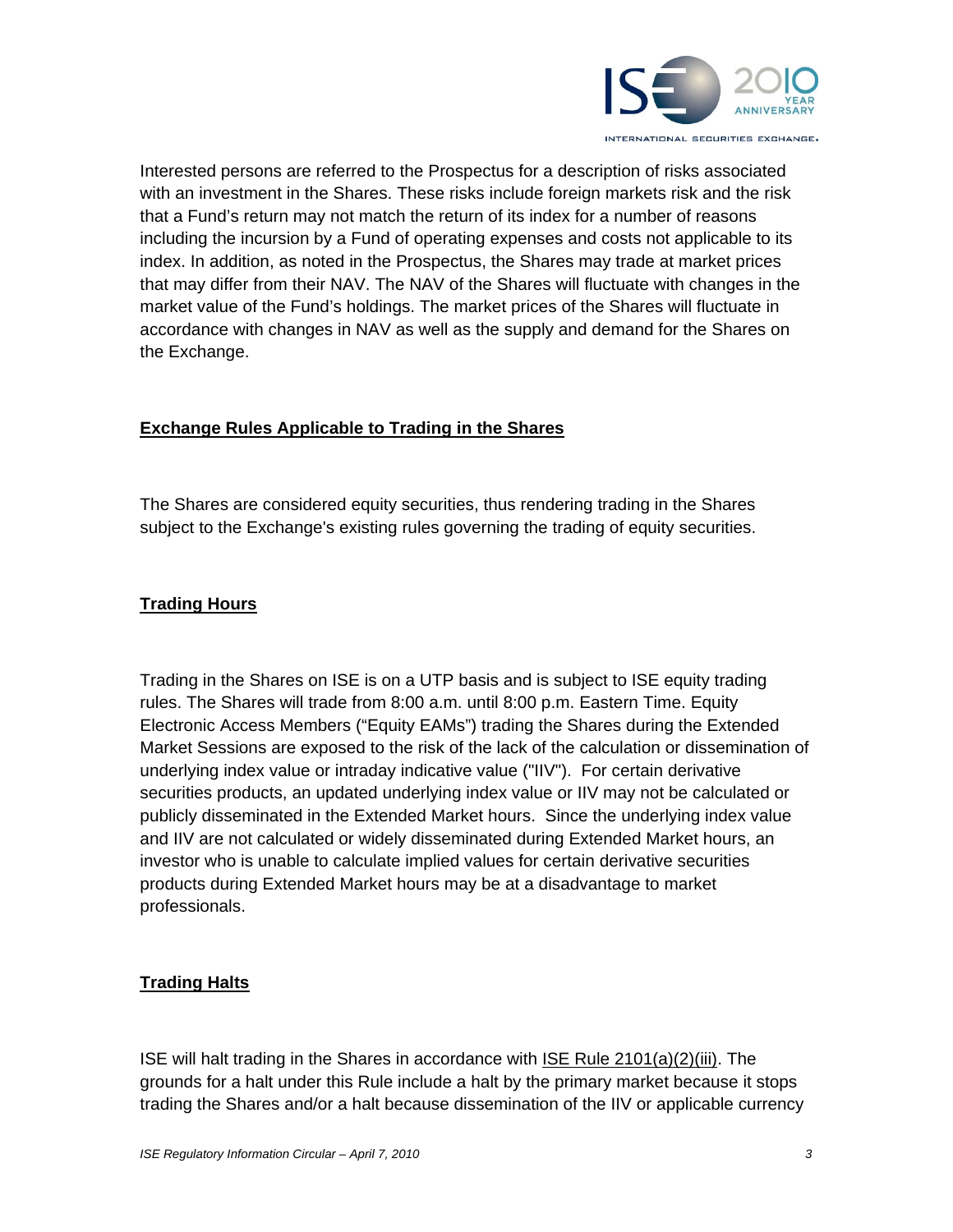

Interested persons are referred to the Prospectus for a description of risks associated with an investment in the Shares. These risks include foreign markets risk and the risk that a Fund's return may not match the return of its index for a number of reasons including the incursion by a Fund of operating expenses and costs not applicable to its index. In addition, as noted in the Prospectus, the Shares may trade at market prices that may differ from their NAV. The NAV of the Shares will fluctuate with changes in the market value of the Fund's holdings. The market prices of the Shares will fluctuate in accordance with changes in NAV as well as the supply and demand for the Shares on the Exchange.

### **Exchange Rules Applicable to Trading in the Shares**

The Shares are considered equity securities, thus rendering trading in the Shares subject to the Exchange's existing rules governing the trading of equity securities.

#### **Trading Hours**

Trading in the Shares on ISE is on a UTP basis and is subject to ISE equity trading rules. The Shares will trade from 8:00 a.m. until 8:00 p.m. Eastern Time. Equity Electronic Access Members ("Equity EAMs") trading the Shares during the Extended Market Sessions are exposed to the risk of the lack of the calculation or dissemination of underlying index value or intraday indicative value ("IIV"). For certain derivative securities products, an updated underlying index value or IIV may not be calculated or publicly disseminated in the Extended Market hours. Since the underlying index value and IIV are not calculated or widely disseminated during Extended Market hours, an investor who is unable to calculate implied values for certain derivative securities products during Extended Market hours may be at a disadvantage to market professionals.

## **Trading Halts**

ISE will halt trading in the Shares in accordance with ISE Rule 2101(a)(2)(iii). The grounds for a halt under this Rule include a halt by the primary market because it stops trading the Shares and/or a halt because dissemination of the IIV or applicable currency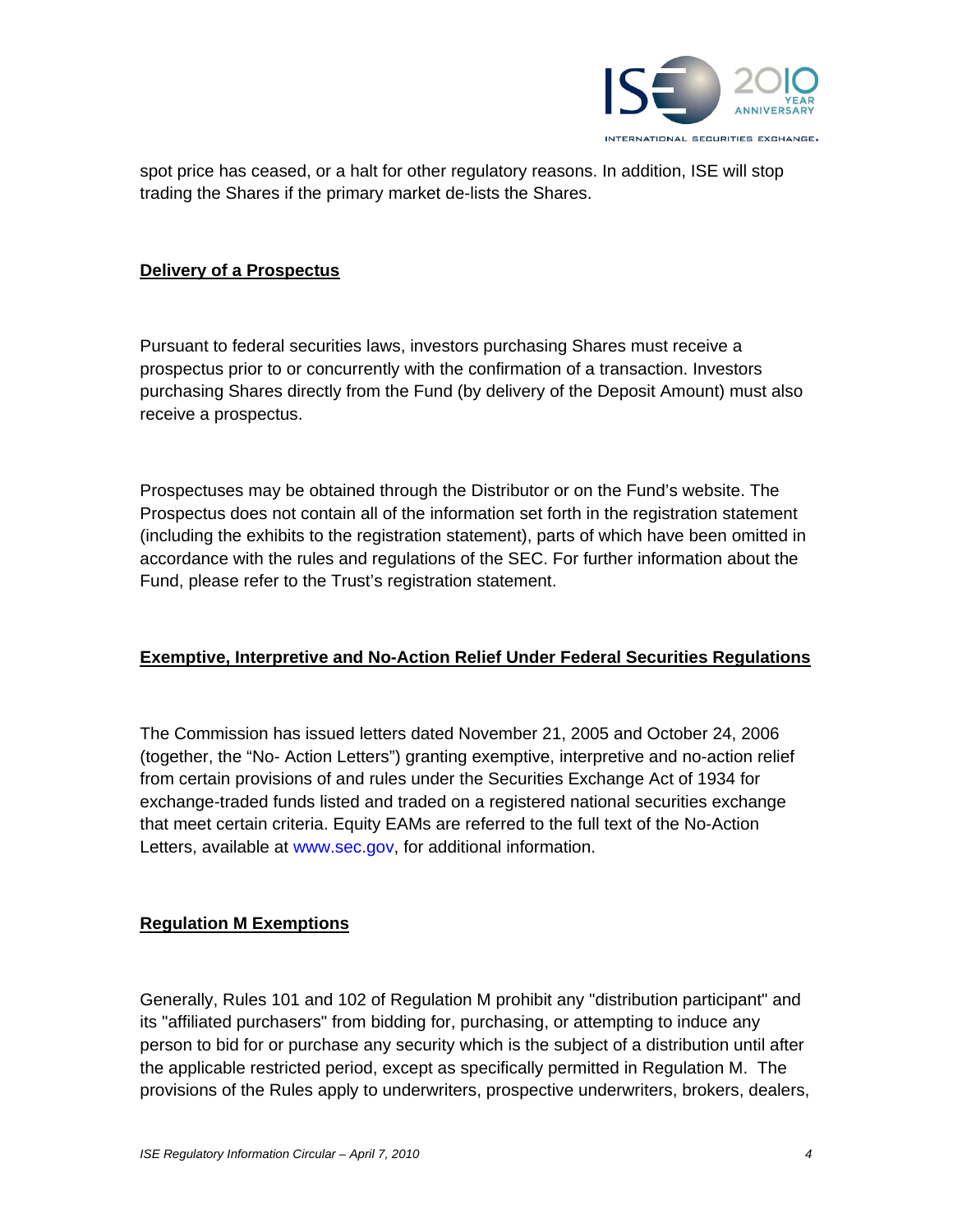

spot price has ceased, or a halt for other regulatory reasons. In addition, ISE will stop trading the Shares if the primary market de-lists the Shares.

#### **Delivery of a Prospectus**

Pursuant to federal securities laws, investors purchasing Shares must receive a prospectus prior to or concurrently with the confirmation of a transaction. Investors purchasing Shares directly from the Fund (by delivery of the Deposit Amount) must also receive a prospectus.

Prospectuses may be obtained through the Distributor or on the Fund's website. The Prospectus does not contain all of the information set forth in the registration statement (including the exhibits to the registration statement), parts of which have been omitted in accordance with the rules and regulations of the SEC. For further information about the Fund, please refer to the Trust's registration statement.

#### **Exemptive, Interpretive and No-Action Relief Under Federal Securities Regulations**

The Commission has issued letters dated November 21, 2005 and October 24, 2006 (together, the "No- Action Letters") granting exemptive, interpretive and no-action relief from certain provisions of and rules under the Securities Exchange Act of 1934 for exchange-traded funds listed and traded on a registered national securities exchange that meet certain criteria. Equity EAMs are referred to the full text of the No-Action Letters, available at www.sec.gov, for additional information.

#### **Regulation M Exemptions**

Generally, Rules 101 and 102 of Regulation M prohibit any "distribution participant" and its "affiliated purchasers" from bidding for, purchasing, or attempting to induce any person to bid for or purchase any security which is the subject of a distribution until after the applicable restricted period, except as specifically permitted in Regulation M. The provisions of the Rules apply to underwriters, prospective underwriters, brokers, dealers,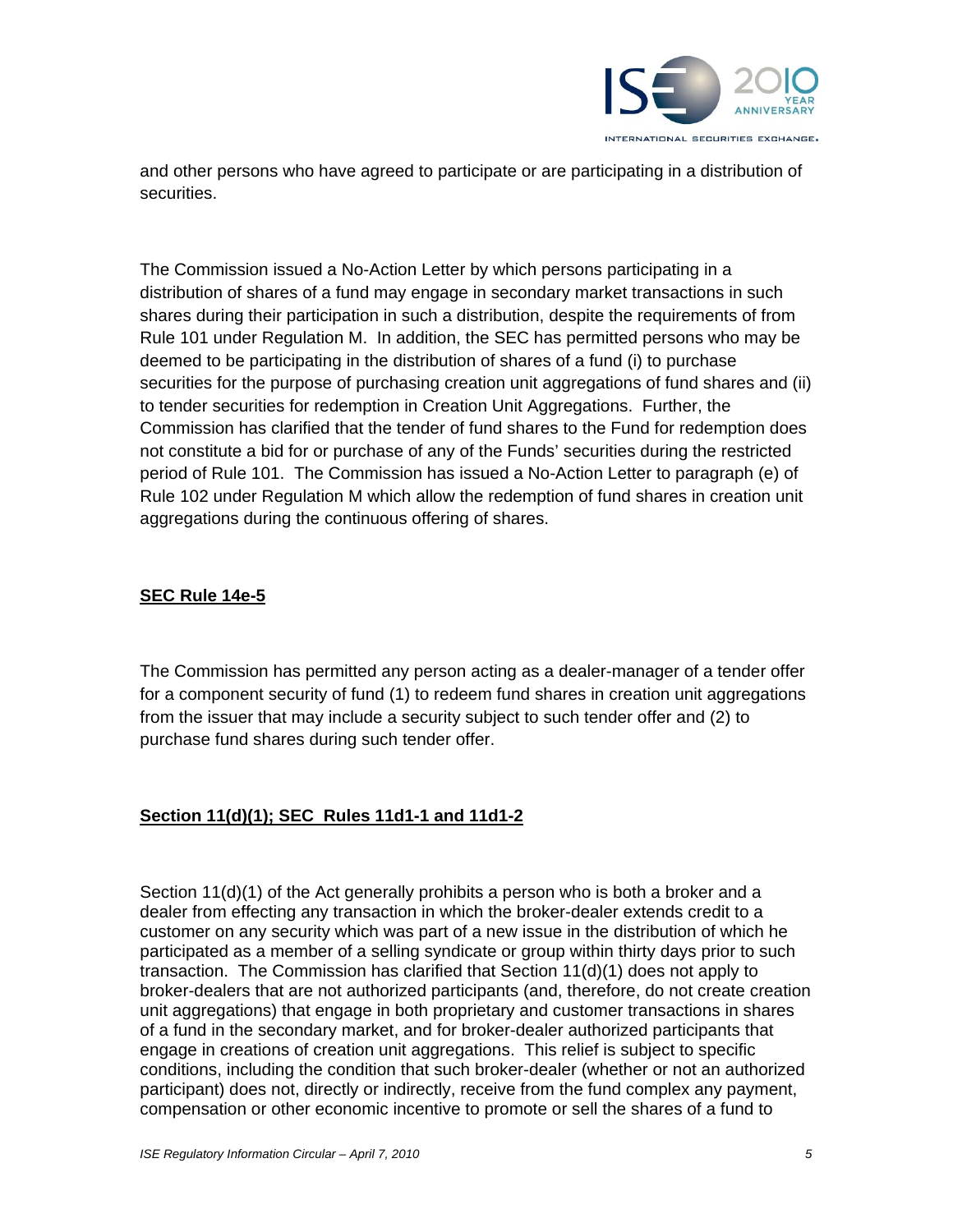

and other persons who have agreed to participate or are participating in a distribution of securities.

The Commission issued a No-Action Letter by which persons participating in a distribution of shares of a fund may engage in secondary market transactions in such shares during their participation in such a distribution, despite the requirements of from Rule 101 under Regulation M. In addition, the SEC has permitted persons who may be deemed to be participating in the distribution of shares of a fund (i) to purchase securities for the purpose of purchasing creation unit aggregations of fund shares and (ii) to tender securities for redemption in Creation Unit Aggregations. Further, the Commission has clarified that the tender of fund shares to the Fund for redemption does not constitute a bid for or purchase of any of the Funds' securities during the restricted period of Rule 101. The Commission has issued a No-Action Letter to paragraph (e) of Rule 102 under Regulation M which allow the redemption of fund shares in creation unit aggregations during the continuous offering of shares.

## **SEC Rule 14e-5**

The Commission has permitted any person acting as a dealer-manager of a tender offer for a component security of fund (1) to redeem fund shares in creation unit aggregations from the issuer that may include a security subject to such tender offer and (2) to purchase fund shares during such tender offer.

#### **Section 11(d)(1); SEC Rules 11d1-1 and 11d1-2**

Section 11(d)(1) of the Act generally prohibits a person who is both a broker and a dealer from effecting any transaction in which the broker-dealer extends credit to a customer on any security which was part of a new issue in the distribution of which he participated as a member of a selling syndicate or group within thirty days prior to such transaction. The Commission has clarified that Section 11(d)(1) does not apply to broker-dealers that are not authorized participants (and, therefore, do not create creation unit aggregations) that engage in both proprietary and customer transactions in shares of a fund in the secondary market, and for broker-dealer authorized participants that engage in creations of creation unit aggregations. This relief is subject to specific conditions, including the condition that such broker-dealer (whether or not an authorized participant) does not, directly or indirectly, receive from the fund complex any payment, compensation or other economic incentive to promote or sell the shares of a fund to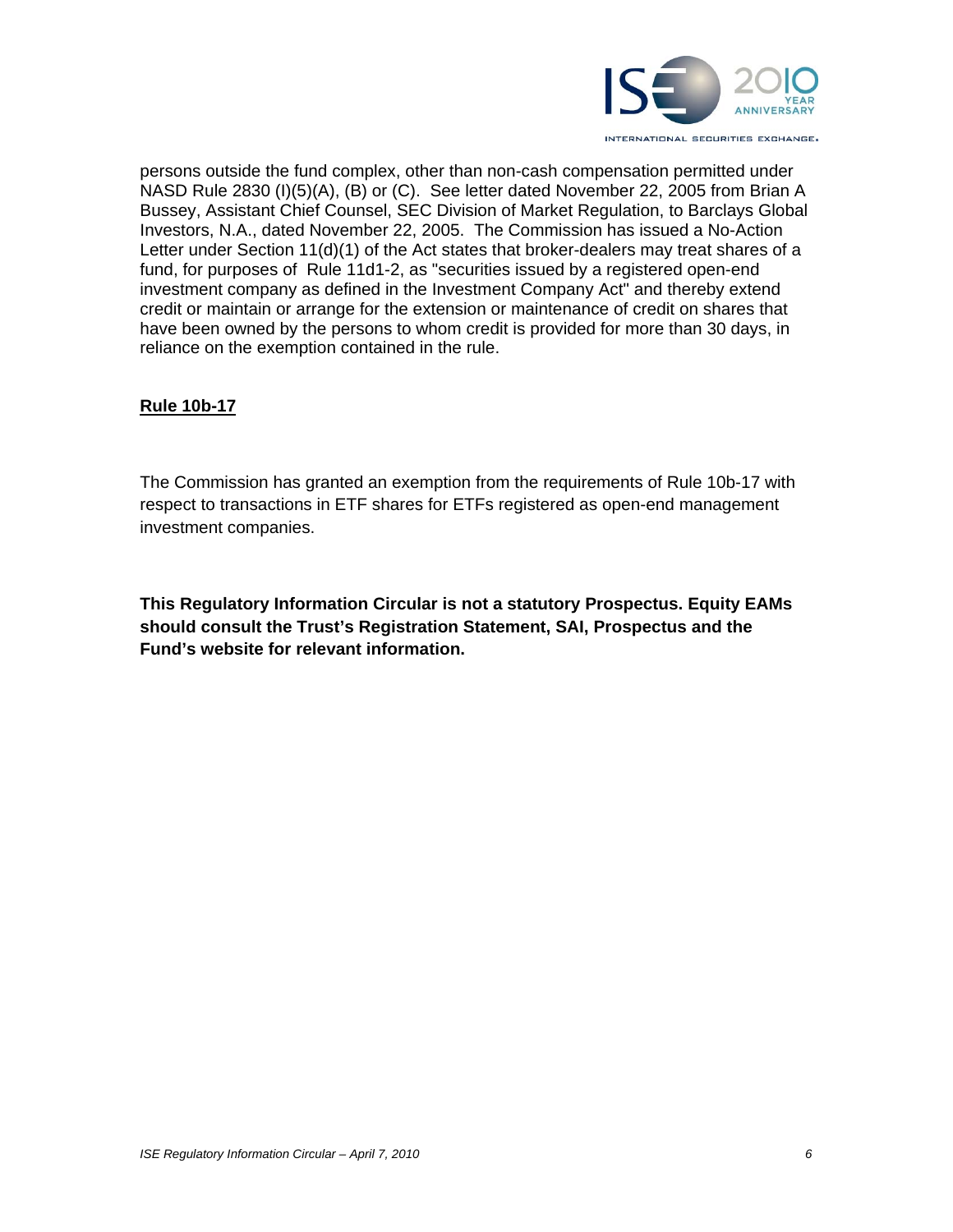

persons outside the fund complex, other than non-cash compensation permitted under NASD Rule 2830 (I)(5)(A), (B) or (C). See letter dated November 22, 2005 from Brian A Bussey, Assistant Chief Counsel, SEC Division of Market Regulation, to Barclays Global Investors, N.A., dated November 22, 2005. The Commission has issued a No-Action Letter under Section 11(d)(1) of the Act states that broker-dealers may treat shares of a fund, for purposes of Rule 11d1-2, as "securities issued by a registered open-end investment company as defined in the Investment Company Act" and thereby extend credit or maintain or arrange for the extension or maintenance of credit on shares that have been owned by the persons to whom credit is provided for more than 30 days, in reliance on the exemption contained in the rule.

#### **Rule 10b-17**

The Commission has granted an exemption from the requirements of Rule 10b-17 with respect to transactions in ETF shares for ETFs registered as open-end management investment companies.

**This Regulatory Information Circular is not a statutory Prospectus. Equity EAMs should consult the Trust's Registration Statement, SAI, Prospectus and the Fund's website for relevant information.**